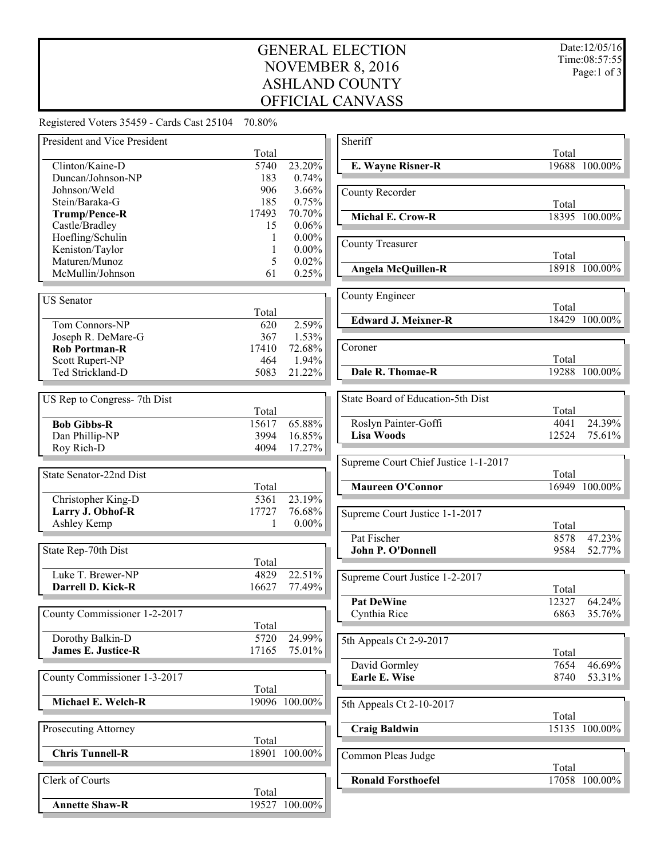## GENERAL ELECTION NOVEMBER 8, 2016 ASHLAND COUNTY OFFICIAL CANVASS

Total

Total

Total

Total

Total

Total

Total

Total

 $\frac{Total}{12327}$ 

Total

Total

Total

**E. Wayne Risner-R** 19688 100.00%

**Michal E. Crow-R** 18395 100.00%

**Angela McQuillen-R** 18918 100.00%

**18429** 100.00%

**19288** 100.00%

 $\overline{4041}$  24.39% **Lisa Woods** 12524 75.61%

**16949** 100.00%

 $8578$  47.23% 9584 52.77%

 $\overline{7654}$  46.69% **Earle E. Wise** 8740 53.31%

**Craig Baldwin** 15135 100.00%

**Roua** 17058 100.00%

64.24<sup>%</sup> 6863 35.76%

Registered Voters 35459 - Cards Cast 25104 70.80%

| President and Vice President | Total             |               | Sheriff                              |
|------------------------------|-------------------|---------------|--------------------------------------|
| Clinton/Kaine-D              | 5740              | 23.20%        | <b>E. Wayne Risner-R</b>             |
| Duncan/Johnson-NP            | 183               | 0.74%         |                                      |
| Johnson/Weld                 | 906               | 3.66%         | County Recorder                      |
| Stein/Baraka-G               | 185               | 0.75%         |                                      |
| Trump/Pence-R                | 17493             | 70.70%        | <b>Michal E. Crow-R</b>              |
| Castle/Bradley               | 15                | 0.06%         |                                      |
| Hoefling/Schulin             | 1                 | $0.00\%$      |                                      |
| Keniston/Taylor              | 1                 | $0.00\%$      | <b>County Treasurer</b>              |
| Maturen/Munoz                | 5                 | 0.02%         |                                      |
| McMullin/Johnson             | 61                | 0.25%         | <b>Angela McQuillen-R</b>            |
| <b>US</b> Senator            |                   |               | County Engineer                      |
|                              | Total             |               |                                      |
| Tom Connors-NP               | 620               | 2.59%         | <b>Edward J. Meixner-R</b>           |
| Joseph R. DeMare-G           | 367               | 1.53%         |                                      |
| <b>Rob Portman-R</b>         | 17410             | 72.68%        | Coroner                              |
| Scott Rupert-NP              | 464               | 1.94%         |                                      |
| Ted Strickland-D             | 5083              | 21.22%        | Dale R. Thomae-R                     |
| US Rep to Congress- 7th Dist |                   |               | State Board of Education-5th Dist    |
|                              | Total             |               |                                      |
| <b>Bob Gibbs-R</b>           | 15617             | 65.88%        | Roslyn Painter-Goffi                 |
| Dan Phillip-NP               | 3994              | 16.85%        | <b>Lisa Woods</b>                    |
| Roy Rich-D                   | 4094              | 17.27%        |                                      |
|                              |                   |               | Supreme Court Chief Justice 1-1-2017 |
| State Senator-22nd Dist      |                   |               |                                      |
|                              | Total             |               | <b>Maureen O'Connor</b>              |
| Christopher King-D           | $\overline{5361}$ | 23.19%        |                                      |
| Larry J. Obhof-R             | 17727             | 76.68%        | Supreme Court Justice 1-1-2017       |
| Ashley Kemp                  |                   | $0.00\%$      |                                      |
|                              |                   |               | Pat Fischer                          |
| State Rep-70th Dist          |                   |               | John P. O'Donnell                    |
|                              | Total             |               |                                      |
| Luke T. Brewer-NP            | 4829              | 22.51%        | Supreme Court Justice 1-2-2017       |
| Darrell D. Kick-R            | 16627             | 77.49%        |                                      |
|                              |                   |               | <b>Pat DeWine</b>                    |
| County Commissioner 1-2-2017 |                   |               | Cynthia Rice                         |
|                              | Total             |               |                                      |
| Dorothy Balkin-D             | 5720              | 24.99%        | 5th Appeals Ct 2-9-2017              |
| <b>James E. Justice-R</b>    | 17165             | 75.01%        |                                      |
|                              |                   |               | David Gormley                        |
| County Commissioner 1-3-2017 |                   |               | Earle E. Wise                        |
|                              | Total             |               |                                      |
| Michael E. Welch-R           |                   | 19096 100.00% | 5th Appeals Ct 2-10-2017             |
| Prosecuting Attorney         |                   |               | <b>Craig Baldwin</b>                 |
|                              | Total             |               |                                      |
| <b>Chris Tunnell-R</b>       |                   | 18901 100.00% | Common Pleas Judge                   |
| Clerk of Courts              |                   |               | <b>Ronald Forsthoefel</b>            |
|                              | Total             |               |                                      |
| <b>Annette Shaw-R</b>        |                   | 19527 100.00% |                                      |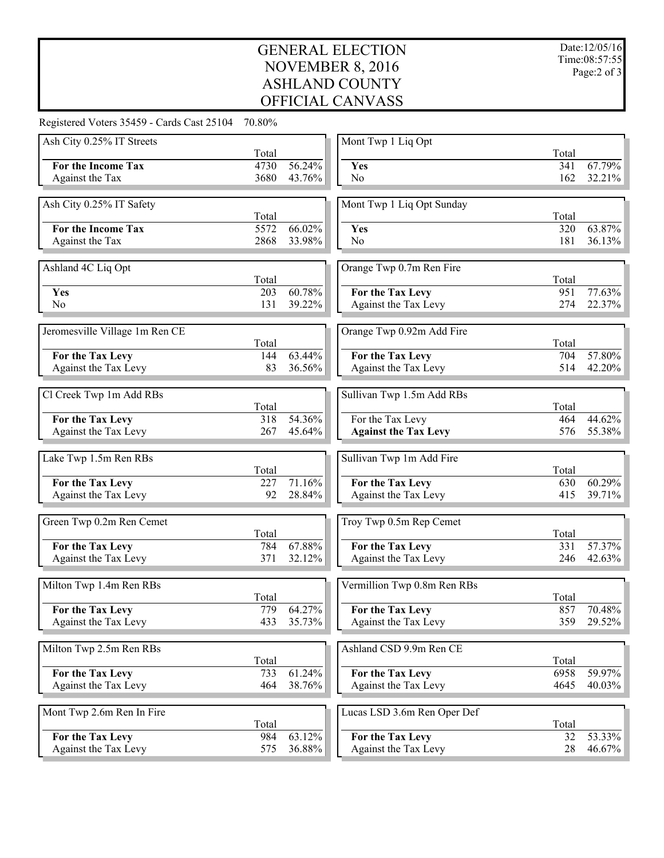## GENERAL ELECTION NOVEMBER 8, 2016 ASHLAND COUNTY OFFICIAL CANVASS

Registered Voters 35459 - Cards Cast 25104 70.80%

| Ash City 0.25% IT Streets                |            |                  | Mont Twp 1 Liq Opt                       |          |                  |
|------------------------------------------|------------|------------------|------------------------------------------|----------|------------------|
|                                          | Total      |                  |                                          | Total    |                  |
| For the Income Tax                       | 4730       | 56.24%           | Yes                                      | 341      | 67.79%           |
| Against the Tax                          | 3680       | 43.76%           | N <sub>0</sub>                           | 162      | 32.21%           |
| Ash City 0.25% IT Safety                 |            |                  | Mont Twp 1 Liq Opt Sunday                |          |                  |
|                                          | Total      |                  |                                          | Total    |                  |
| For the Income Tax                       | 5572       | $66.02\%$        | Yes                                      | 320      | 63.87%           |
| Against the Tax                          | 2868       | 33.98%           | N <sub>o</sub>                           | 181      | 36.13%           |
|                                          |            |                  |                                          |          |                  |
| Ashland 4C Liq Opt                       |            |                  | Orange Twp 0.7m Ren Fire                 |          |                  |
|                                          | Total      |                  |                                          | Total    |                  |
| Yes                                      | 203        | $60.78\%$        | For the Tax Levy                         | 951      | 77.63%           |
| N <sub>o</sub>                           | 131        | 39.22%           | Against the Tax Levy                     | 274      | 22.37%           |
|                                          |            |                  |                                          |          |                  |
| Jeromesville Village 1m Ren CE           |            |                  | Orange Twp 0.92m Add Fire                |          |                  |
|                                          | Total      |                  |                                          | Total    |                  |
| For the Tax Levy                         | 144        | 63.44%           | For the Tax Levy                         | 704      | 57.80%           |
| Against the Tax Levy                     | 83         | 36.56%           | Against the Tax Levy                     | 514      | 42.20%           |
|                                          |            |                  |                                          |          |                  |
| Cl Creek Twp 1m Add RBs                  |            |                  | Sullivan Twp 1.5m Add RBs                |          |                  |
|                                          | Total      |                  |                                          | Total    |                  |
| For the Tax Levy                         | 318        | 54.36%           | For the Tax Levy                         | 464      | 44.62%           |
| Against the Tax Levy                     | 267        | 45.64%           | <b>Against the Tax Levy</b>              | 576      | 55.38%           |
|                                          |            |                  |                                          |          |                  |
| Lake Twp 1.5m Ren RBs                    | Total      |                  | Sullivan Twp 1m Add Fire                 | Total    |                  |
| For the Tax Levy                         | 227        | 71.16%           | For the Tax Levy                         | 630      | $60.29\%$        |
| Against the Tax Levy                     | 92         | 28.84%           | Against the Tax Levy                     | 415      | 39.71%           |
|                                          |            |                  |                                          |          |                  |
| Green Twp 0.2m Ren Cemet                 |            |                  | Troy Twp 0.5m Rep Cemet                  |          |                  |
|                                          | Total      |                  |                                          | Total    |                  |
| For the Tax Levy                         | 784        | 67.88%           | For the Tax Levy                         | 331      | 57.37%           |
| Against the Tax Levy                     | 371        | 32.12%           | Against the Tax Levy                     | 246      | 42.63%           |
|                                          |            |                  |                                          |          |                  |
| Milton Twp 1.4m Ren RBs                  |            |                  | Vermillion Twp 0.8m Ren RBs              |          |                  |
|                                          | Total      |                  |                                          | Total    |                  |
| For the Tax Levy                         | 779        | 64.27%           | For the Tax Levy                         | 857      | 70.48%           |
| Against the Tax Levy                     | 433        | 35.73%           | Against the Tax Levy                     | 359      | 29.52%           |
|                                          |            |                  |                                          |          |                  |
| Milton Twp 2.5m Ren RBs                  |            |                  | Ashland CSD 9.9m Ren CE                  |          |                  |
|                                          | Total      |                  |                                          | Total    |                  |
| For the Tax Levy                         | 733        | 61.24%           | For the Tax Levy                         | 6958     | 59.97%           |
| Against the Tax Levy                     | 464        | 38.76%           | Against the Tax Levy                     | 4645     | 40.03%           |
|                                          |            |                  |                                          |          |                  |
| Mont Twp 2.6m Ren In Fire                |            |                  | Lucas LSD 3.6m Ren Oper Def              |          |                  |
|                                          | Total      |                  |                                          | Total    |                  |
|                                          |            |                  |                                          |          |                  |
| For the Tax Levy<br>Against the Tax Levy | 984<br>575 | 63.12%<br>36.88% | For the Tax Levy<br>Against the Tax Levy | 32<br>28 | 53.33%<br>46.67% |